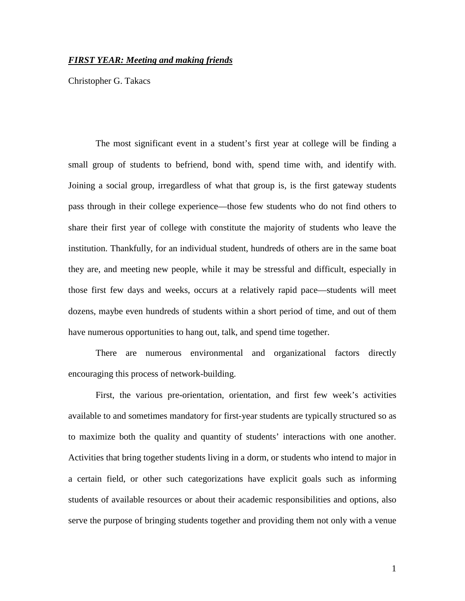### *FIRST YEAR: Meeting and making friends*

Christopher G. Takacs

The most significant event in a student's first year at college will be finding a small group of students to befriend, bond with, spend time with, and identify with. Joining a social group, irregardless of what that group is, is the first gateway students pass through in their college experience—those few students who do not find others to share their first year of college with constitute the majority of students who leave the institution. Thankfully, for an individual student, hundreds of others are in the same boat they are, and meeting new people, while it may be stressful and difficult, especially in those first few days and weeks, occurs at a relatively rapid pace—students will meet dozens, maybe even hundreds of students within a short period of time, and out of them have numerous opportunities to hang out, talk, and spend time together.

 There are numerous environmental and organizational factors directly encouraging this process of network-building.

First, the various pre-orientation, orientation, and first few week's activities available to and sometimes mandatory for first-year students are typically structured so as to maximize both the quality and quantity of students' interactions with one another. Activities that bring together students living in a dorm, or students who intend to major in a certain field, or other such categorizations have explicit goals such as informing students of available resources or about their academic responsibilities and options, also serve the purpose of bringing students together and providing them not only with a venue

1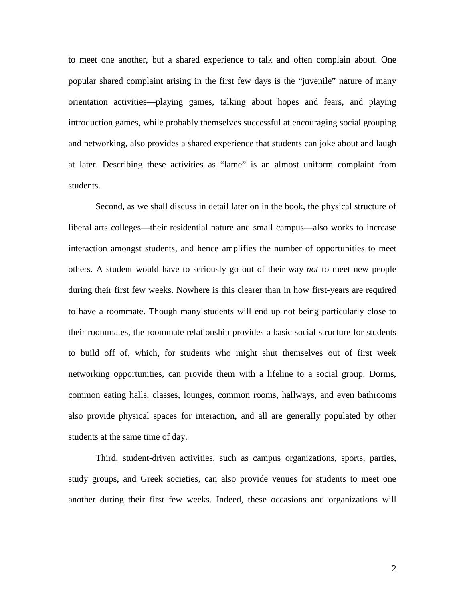to meet one another, but a shared experience to talk and often complain about. One popular shared complaint arising in the first few days is the "juvenile" nature of many orientation activities—playing games, talking about hopes and fears, and playing introduction games, while probably themselves successful at encouraging social grouping and networking, also provides a shared experience that students can joke about and laugh at later. Describing these activities as "lame" is an almost uniform complaint from students.

Second, as we shall discuss in detail later on in the book, the physical structure of liberal arts colleges—their residential nature and small campus—also works to increase interaction amongst students, and hence amplifies the number of opportunities to meet others. A student would have to seriously go out of their way *not* to meet new people during their first few weeks. Nowhere is this clearer than in how first-years are required to have a roommate. Though many students will end up not being particularly close to their roommates, the roommate relationship provides a basic social structure for students to build off of, which, for students who might shut themselves out of first week networking opportunities, can provide them with a lifeline to a social group. Dorms, common eating halls, classes, lounges, common rooms, hallways, and even bathrooms also provide physical spaces for interaction, and all are generally populated by other students at the same time of day.

Third, student-driven activities, such as campus organizations, sports, parties, study groups, and Greek societies, can also provide venues for students to meet one another during their first few weeks. Indeed, these occasions and organizations will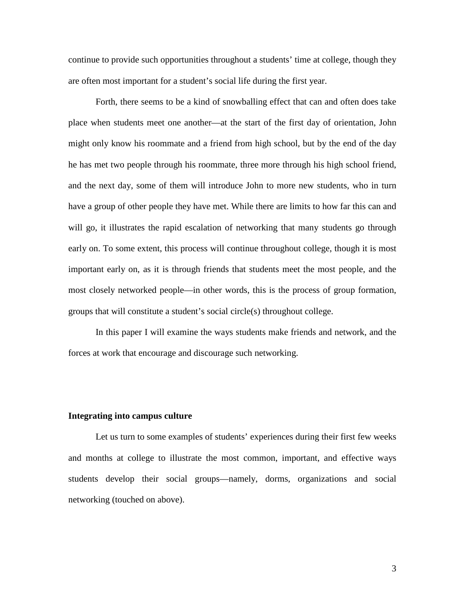continue to provide such opportunities throughout a students' time at college, though they are often most important for a student's social life during the first year.

Forth, there seems to be a kind of snowballing effect that can and often does take place when students meet one another—at the start of the first day of orientation, John might only know his roommate and a friend from high school, but by the end of the day he has met two people through his roommate, three more through his high school friend, and the next day, some of them will introduce John to more new students, who in turn have a group of other people they have met. While there are limits to how far this can and will go, it illustrates the rapid escalation of networking that many students go through early on. To some extent, this process will continue throughout college, though it is most important early on, as it is through friends that students meet the most people, and the most closely networked people—in other words, this is the process of group formation, groups that will constitute a student's social circle(s) throughout college.

 In this paper I will examine the ways students make friends and network, and the forces at work that encourage and discourage such networking.

#### **Integrating into campus culture**

Let us turn to some examples of students' experiences during their first few weeks and months at college to illustrate the most common, important, and effective ways students develop their social groups—namely, dorms, organizations and social networking (touched on above).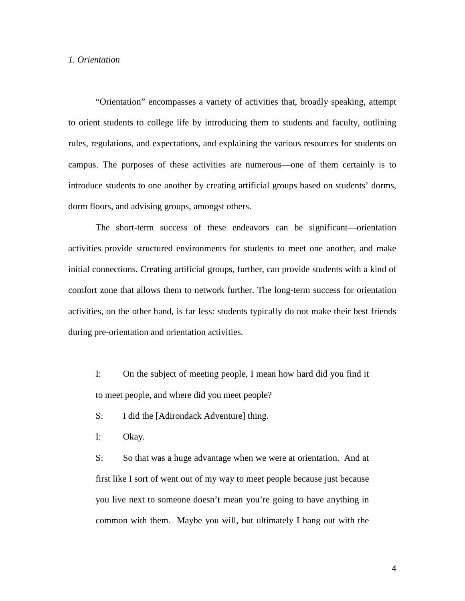### *1. Orientation*

"Orientation" encompasses a variety of activities that, broadly speaking, attempt to orient students to college life by introducing them to students and faculty, outlining rules, regulations, and expectations, and explaining the various resources for students on campus. The purposes of these activities are numerous—one of them certainly is to introduce students to one another by creating artificial groups based on students' dorms, dorm floors, and advising groups, amongst others.

The short-term success of these endeavors can be significant—orientation activities provide structured environments for students to meet one another, and make initial connections. Creating artificial groups, further, can provide students with a kind of comfort zone that allows them to network further. The long-term success for orientation activities, on the other hand, is far less: students typically do not make their best friends during pre-orientation and orientation activities.

I: On the subject of meeting people, I mean how hard did you find it to meet people, and where did you meet people?

S: I did the [Adirondack Adventure] thing.

I: Okay.

S: So that was a huge advantage when we were at orientation. And at first like I sort of went out of my way to meet people because just because you live next to someone doesn't mean you're going to have anything in common with them. Maybe you will, but ultimately I hang out with the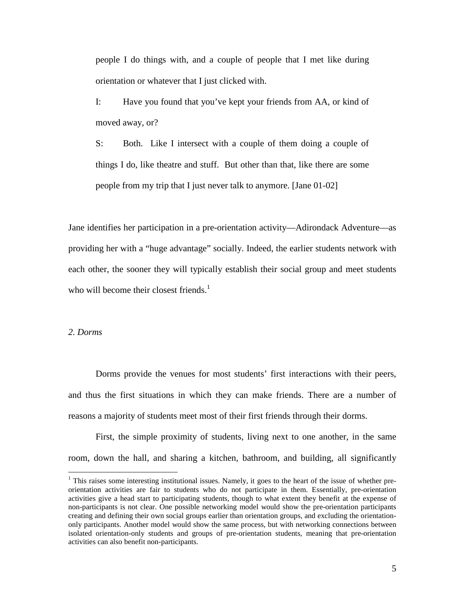people I do things with, and a couple of people that I met like during orientation or whatever that I just clicked with.

I: Have you found that you've kept your friends from AA, or kind of moved away, or?

S: Both. Like I intersect with a couple of them doing a couple of things I do, like theatre and stuff. But other than that, like there are some people from my trip that I just never talk to anymore. [Jane 01-02]

Jane identifies her participation in a pre-orientation activity—Adirondack Adventure—as providing her with a "huge advantage" socially. Indeed, the earlier students network with each other, the sooner they will typically establish their social group and meet students who will become their closest friends. $<sup>1</sup>$ </sup>

#### *2. Dorms*

 $\overline{a}$ 

 Dorms provide the venues for most students' first interactions with their peers, and thus the first situations in which they can make friends. There are a number of reasons a majority of students meet most of their first friends through their dorms.

First, the simple proximity of students, living next to one another, in the same room, down the hall, and sharing a kitchen, bathroom, and building, all significantly

<sup>&</sup>lt;sup>1</sup> This raises some interesting institutional issues. Namely, it goes to the heart of the issue of whether preorientation activities are fair to students who do not participate in them. Essentially, pre-orientation activities give a head start to participating students, though to what extent they benefit at the expense of non-participants is not clear. One possible networking model would show the pre-orientation participants creating and defining their own social groups earlier than orientation groups, and excluding the orientationonly participants. Another model would show the same process, but with networking connections between isolated orientation-only students and groups of pre-orientation students, meaning that pre-orientation activities can also benefit non-participants.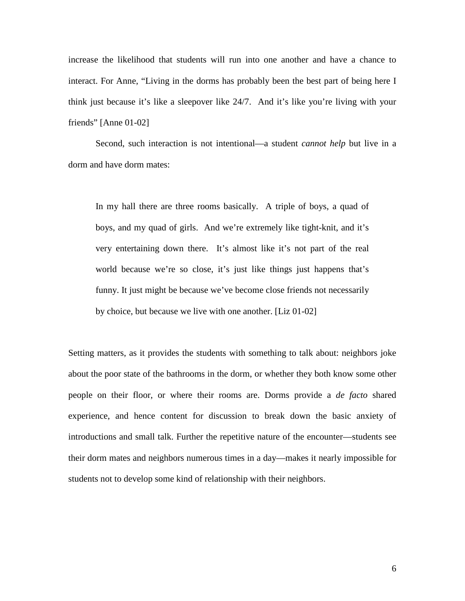increase the likelihood that students will run into one another and have a chance to interact. For Anne, "Living in the dorms has probably been the best part of being here I think just because it's like a sleepover like 24/7. And it's like you're living with your friends" [Anne 01-02]

Second, such interaction is not intentional—a student *cannot help* but live in a dorm and have dorm mates:

In my hall there are three rooms basically. A triple of boys, a quad of boys, and my quad of girls. And we're extremely like tight-knit, and it's very entertaining down there. It's almost like it's not part of the real world because we're so close, it's just like things just happens that's funny. It just might be because we've become close friends not necessarily by choice, but because we live with one another. [Liz 01-02]

Setting matters, as it provides the students with something to talk about: neighbors joke about the poor state of the bathrooms in the dorm, or whether they both know some other people on their floor, or where their rooms are. Dorms provide a *de facto* shared experience, and hence content for discussion to break down the basic anxiety of introductions and small talk. Further the repetitive nature of the encounter—students see their dorm mates and neighbors numerous times in a day—makes it nearly impossible for students not to develop some kind of relationship with their neighbors.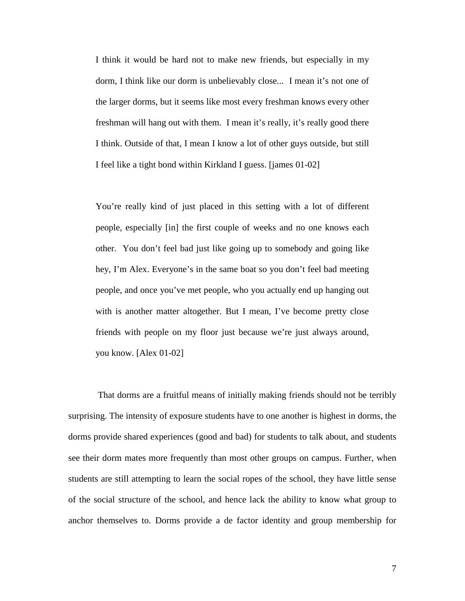I think it would be hard not to make new friends, but especially in my dorm, I think like our dorm is unbelievably close... I mean it's not one of the larger dorms, but it seems like most every freshman knows every other freshman will hang out with them. I mean it's really, it's really good there I think. Outside of that, I mean I know a lot of other guys outside, but still I feel like a tight bond within Kirkland I guess. [james 01-02]

You're really kind of just placed in this setting with a lot of different people, especially [in] the first couple of weeks and no one knows each other. You don't feel bad just like going up to somebody and going like hey, I'm Alex. Everyone's in the same boat so you don't feel bad meeting people, and once you've met people, who you actually end up hanging out with is another matter altogether. But I mean, I've become pretty close friends with people on my floor just because we're just always around, you know. [Alex 01-02]

 That dorms are a fruitful means of initially making friends should not be terribly surprising. The intensity of exposure students have to one another is highest in dorms, the dorms provide shared experiences (good and bad) for students to talk about, and students see their dorm mates more frequently than most other groups on campus. Further, when students are still attempting to learn the social ropes of the school, they have little sense of the social structure of the school, and hence lack the ability to know what group to anchor themselves to. Dorms provide a de factor identity and group membership for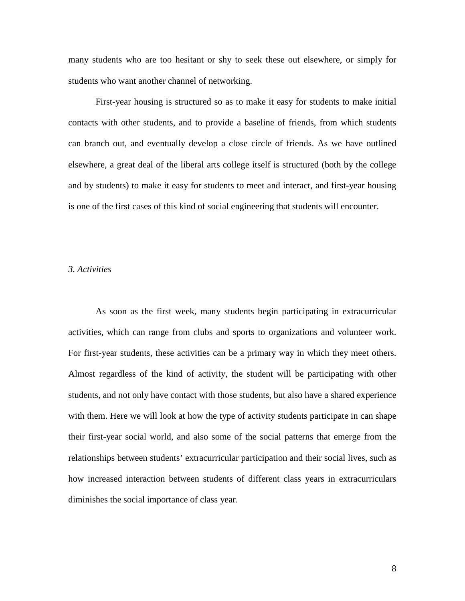many students who are too hesitant or shy to seek these out elsewhere, or simply for students who want another channel of networking.

First-year housing is structured so as to make it easy for students to make initial contacts with other students, and to provide a baseline of friends, from which students can branch out, and eventually develop a close circle of friends. As we have outlined elsewhere, a great deal of the liberal arts college itself is structured (both by the college and by students) to make it easy for students to meet and interact, and first-year housing is one of the first cases of this kind of social engineering that students will encounter.

### *3. Activities*

 As soon as the first week, many students begin participating in extracurricular activities, which can range from clubs and sports to organizations and volunteer work. For first-year students, these activities can be a primary way in which they meet others. Almost regardless of the kind of activity, the student will be participating with other students, and not only have contact with those students, but also have a shared experience with them. Here we will look at how the type of activity students participate in can shape their first-year social world, and also some of the social patterns that emerge from the relationships between students' extracurricular participation and their social lives, such as how increased interaction between students of different class years in extracurriculars diminishes the social importance of class year.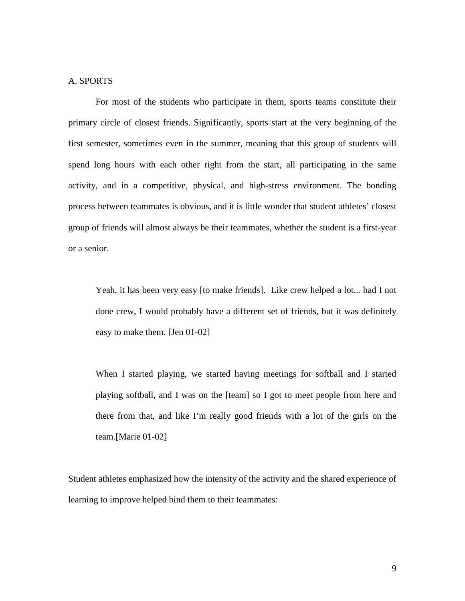## A. SPORTS

 For most of the students who participate in them, sports teams constitute their primary circle of closest friends. Significantly, sports start at the very beginning of the first semester, sometimes even in the summer, meaning that this group of students will spend long hours with each other right from the start, all participating in the same activity, and in a competitive, physical, and high-stress environment. The bonding process between teammates is obvious, and it is little wonder that student athletes' closest group of friends will almost always be their teammates, whether the student is a first-year or a senior.

Yeah, it has been very easy [to make friends]. Like crew helped a lot... had I not done crew, I would probably have a different set of friends, but it was definitely easy to make them. [Jen 01-02]

When I started playing, we started having meetings for softball and I started playing softball, and I was on the [team] so I got to meet people from here and there from that, and like I'm really good friends with a lot of the girls on the team.[Marie 01-02]

Student athletes emphasized how the intensity of the activity and the shared experience of learning to improve helped bind them to their teammates: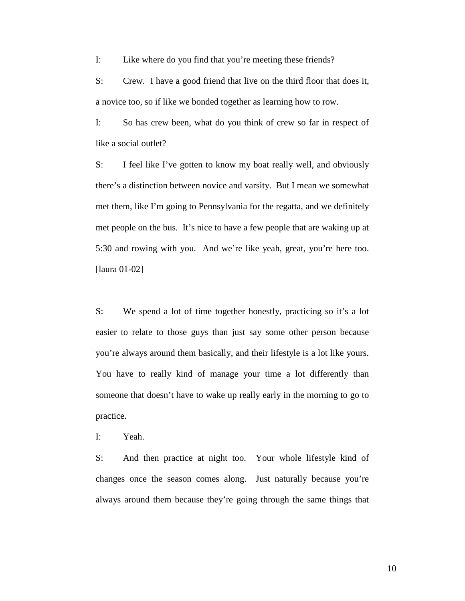I: Like where do you find that you're meeting these friends?

S: Crew. I have a good friend that live on the third floor that does it, a novice too, so if like we bonded together as learning how to row.

I: So has crew been, what do you think of crew so far in respect of like a social outlet?

S: I feel like I've gotten to know my boat really well, and obviously there's a distinction between novice and varsity. But I mean we somewhat met them, like I'm going to Pennsylvania for the regatta, and we definitely met people on the bus. It's nice to have a few people that are waking up at 5:30 and rowing with you. And we're like yeah, great, you're here too. [laura 01-02]

S: We spend a lot of time together honestly, practicing so it's a lot easier to relate to those guys than just say some other person because you're always around them basically, and their lifestyle is a lot like yours. You have to really kind of manage your time a lot differently than someone that doesn't have to wake up really early in the morning to go to practice.

I: Yeah.

S: And then practice at night too. Your whole lifestyle kind of changes once the season comes along. Just naturally because you're always around them because they're going through the same things that

10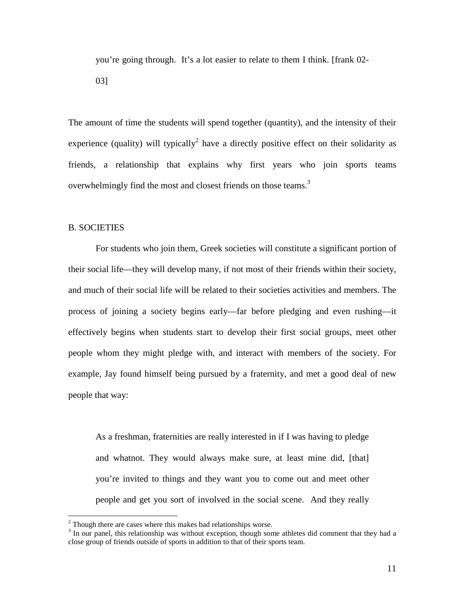you're going through. It's a lot easier to relate to them I think. [frank 02-

03]

The amount of time the students will spend together (quantity), and the intensity of their experience (quality) will typically<sup>2</sup> have a directly positive effect on their solidarity as friends, a relationship that explains why first years who join sports teams overwhelmingly find the most and closest friends on those teams.<sup>3</sup>

### B. SOCIETIES

For students who join them, Greek societies will constitute a significant portion of their social life—they will develop many, if not most of their friends within their society, and much of their social life will be related to their societies activities and members. The process of joining a society begins early—far before pledging and even rushing—it effectively begins when students start to develop their first social groups, meet other people whom they might pledge with, and interact with members of the society. For example, Jay found himself being pursued by a fraternity, and met a good deal of new people that way:

As a freshman, fraternities are really interested in if I was having to pledge and whatnot. They would always make sure, at least mine did, [that] you're invited to things and they want you to come out and meet other people and get you sort of involved in the social scene. And they really

 2 Though there are cases where this makes bad relationships worse.

 $3$  In our panel, this relationship was without exception, though some athletes did comment that they had a close group of friends outside of sports in addition to that of their sports team.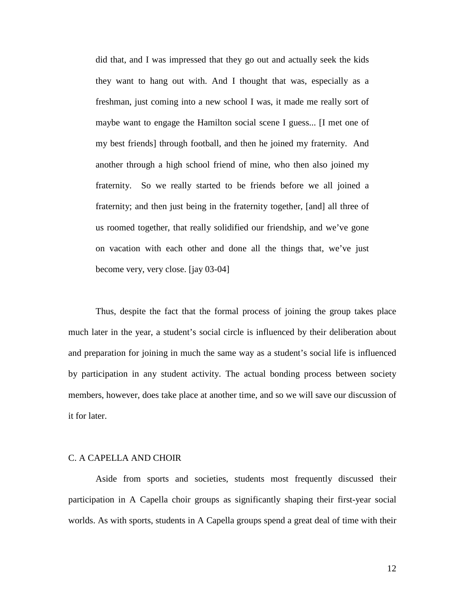did that, and I was impressed that they go out and actually seek the kids they want to hang out with. And I thought that was, especially as a freshman, just coming into a new school I was, it made me really sort of maybe want to engage the Hamilton social scene I guess... [I met one of my best friends] through football, and then he joined my fraternity. And another through a high school friend of mine, who then also joined my fraternity. So we really started to be friends before we all joined a fraternity; and then just being in the fraternity together, [and] all three of us roomed together, that really solidified our friendship, and we've gone on vacation with each other and done all the things that, we've just become very, very close. [jay 03-04]

Thus, despite the fact that the formal process of joining the group takes place much later in the year, a student's social circle is influenced by their deliberation about and preparation for joining in much the same way as a student's social life is influenced by participation in any student activity. The actual bonding process between society members, however, does take place at another time, and so we will save our discussion of it for later.

### C. A CAPELLA AND CHOIR

 Aside from sports and societies, students most frequently discussed their participation in A Capella choir groups as significantly shaping their first-year social worlds. As with sports, students in A Capella groups spend a great deal of time with their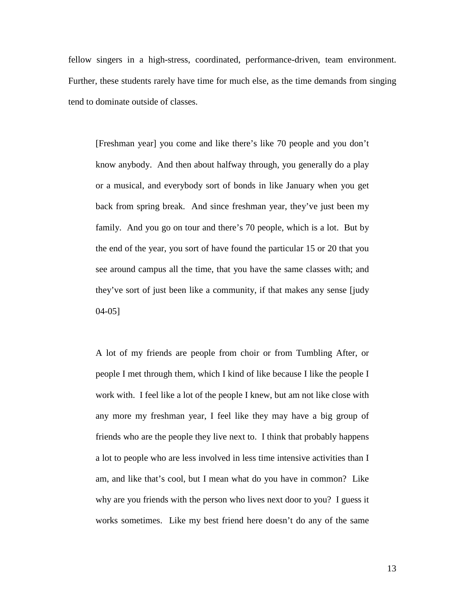fellow singers in a high-stress, coordinated, performance-driven, team environment. Further, these students rarely have time for much else, as the time demands from singing tend to dominate outside of classes.

[Freshman year] you come and like there's like 70 people and you don't know anybody. And then about halfway through, you generally do a play or a musical, and everybody sort of bonds in like January when you get back from spring break. And since freshman year, they've just been my family. And you go on tour and there's 70 people, which is a lot. But by the end of the year, you sort of have found the particular 15 or 20 that you see around campus all the time, that you have the same classes with; and they've sort of just been like a community, if that makes any sense [judy 04-05]

A lot of my friends are people from choir or from Tumbling After, or people I met through them, which I kind of like because I like the people I work with. I feel like a lot of the people I knew, but am not like close with any more my freshman year, I feel like they may have a big group of friends who are the people they live next to. I think that probably happens a lot to people who are less involved in less time intensive activities than I am, and like that's cool, but I mean what do you have in common? Like why are you friends with the person who lives next door to you? I guess it works sometimes. Like my best friend here doesn't do any of the same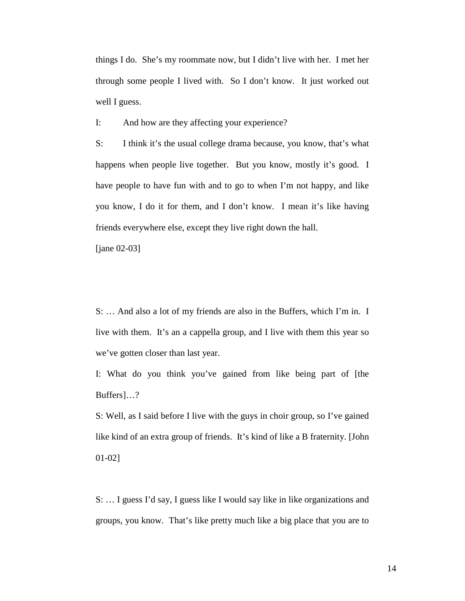things I do. She's my roommate now, but I didn't live with her. I met her through some people I lived with. So I don't know. It just worked out well I guess.

I: And how are they affecting your experience?

S: I think it's the usual college drama because, you know, that's what happens when people live together. But you know, mostly it's good. I have people to have fun with and to go to when I'm not happy, and like you know, I do it for them, and I don't know. I mean it's like having friends everywhere else, except they live right down the hall.

[jane 02-03]

S: … And also a lot of my friends are also in the Buffers, which I'm in. I live with them. It's an a cappella group, and I live with them this year so we've gotten closer than last year.

I: What do you think you've gained from like being part of [the Buffers]…?

S: Well, as I said before I live with the guys in choir group, so I've gained like kind of an extra group of friends. It's kind of like a B fraternity. [John 01-02]

S: … I guess I'd say, I guess like I would say like in like organizations and groups, you know. That's like pretty much like a big place that you are to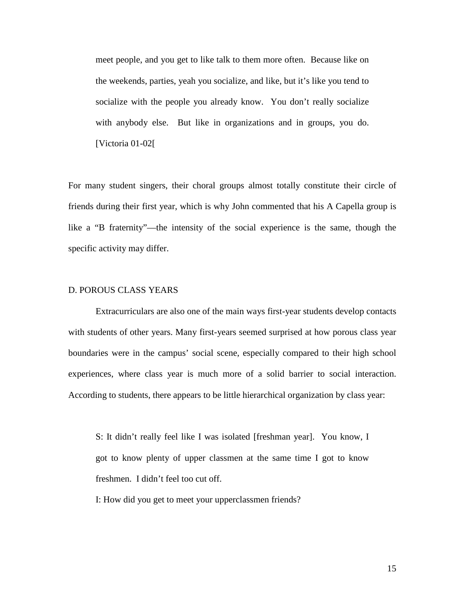meet people, and you get to like talk to them more often. Because like on the weekends, parties, yeah you socialize, and like, but it's like you tend to socialize with the people you already know. You don't really socialize with anybody else. But like in organizations and in groups, you do. [Victoria 01-02[

For many student singers, their choral groups almost totally constitute their circle of friends during their first year, which is why John commented that his A Capella group is like a "B fraternity"—the intensity of the social experience is the same, though the specific activity may differ.

# D. POROUS CLASS YEARS

 Extracurriculars are also one of the main ways first-year students develop contacts with students of other years. Many first-years seemed surprised at how porous class year boundaries were in the campus' social scene, especially compared to their high school experiences, where class year is much more of a solid barrier to social interaction. According to students, there appears to be little hierarchical organization by class year:

S: It didn't really feel like I was isolated [freshman year]. You know, I got to know plenty of upper classmen at the same time I got to know freshmen. I didn't feel too cut off.

I: How did you get to meet your upperclassmen friends?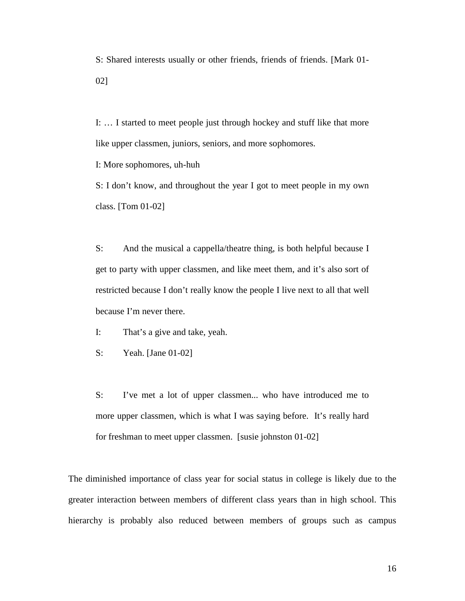S: Shared interests usually or other friends, friends of friends. [Mark 01- 02]

I: … I started to meet people just through hockey and stuff like that more like upper classmen, juniors, seniors, and more sophomores.

I: More sophomores, uh-huh

S: I don't know, and throughout the year I got to meet people in my own class. [Tom 01-02]

S: And the musical a cappella/theatre thing, is both helpful because I get to party with upper classmen, and like meet them, and it's also sort of restricted because I don't really know the people I live next to all that well because I'm never there.

I: That's a give and take, yeah.

S: Yeah. [Jane 01-02]

S: I've met a lot of upper classmen... who have introduced me to more upper classmen, which is what I was saying before. It's really hard for freshman to meet upper classmen. [susie johnston 01-02]

The diminished importance of class year for social status in college is likely due to the greater interaction between members of different class years than in high school. This hierarchy is probably also reduced between members of groups such as campus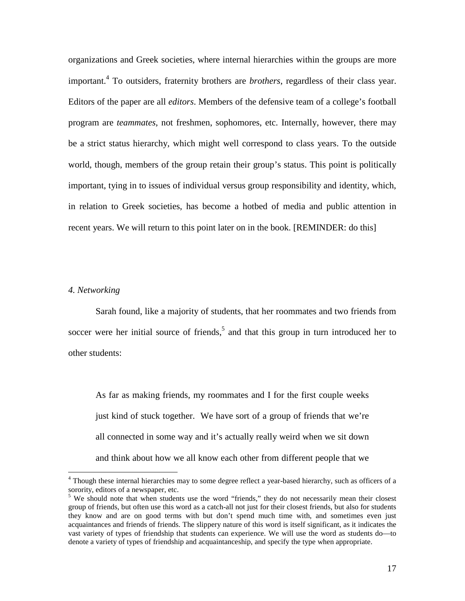organizations and Greek societies, where internal hierarchies within the groups are more important.<sup>4</sup> To outsiders, fraternity brothers are *brothers*, regardless of their class year. Editors of the paper are all *editors*. Members of the defensive team of a college's football program are *teammates*, not freshmen, sophomores, etc. Internally, however, there may be a strict status hierarchy, which might well correspond to class years. To the outside world, though, members of the group retain their group's status. This point is politically important, tying in to issues of individual versus group responsibility and identity, which, in relation to Greek societies, has become a hotbed of media and public attention in recent years. We will return to this point later on in the book. [REMINDER: do this]

#### *4. Networking*

Sarah found, like a majority of students, that her roommates and two friends from soccer were her initial source of friends,<sup>5</sup> and that this group in turn introduced her to other students:

As far as making friends, my roommates and I for the first couple weeks just kind of stuck together. We have sort of a group of friends that we're all connected in some way and it's actually really weird when we sit down and think about how we all know each other from different people that we

 4 Though these internal hierarchies may to some degree reflect a year-based hierarchy, such as officers of a sorority, editors of a newspaper, etc.

<sup>&</sup>lt;sup>5</sup> We should note that when students use the word "friends," they do not necessarily mean their closest group of friends, but often use this word as a catch-all not just for their closest friends, but also for students they know and are on good terms with but don't spend much time with, and sometimes even just acquaintances and friends of friends. The slippery nature of this word is itself significant, as it indicates the vast variety of types of friendship that students can experience. We will use the word as students do—to denote a variety of types of friendship and acquaintanceship, and specify the type when appropriate.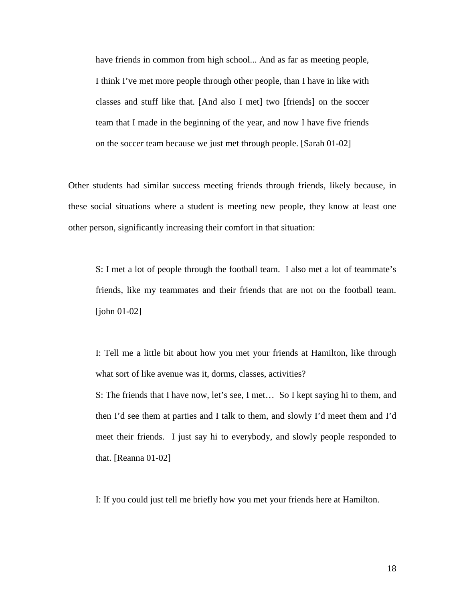have friends in common from high school... And as far as meeting people, I think I've met more people through other people, than I have in like with classes and stuff like that. [And also I met] two [friends] on the soccer team that I made in the beginning of the year, and now I have five friends on the soccer team because we just met through people. [Sarah 01-02]

Other students had similar success meeting friends through friends, likely because, in these social situations where a student is meeting new people, they know at least one other person, significantly increasing their comfort in that situation:

S: I met a lot of people through the football team. I also met a lot of teammate's friends, like my teammates and their friends that are not on the football team. [john 01-02]

I: Tell me a little bit about how you met your friends at Hamilton, like through what sort of like avenue was it, dorms, classes, activities?

S: The friends that I have now, let's see, I met… So I kept saying hi to them, and then I'd see them at parties and I talk to them, and slowly I'd meet them and I'd meet their friends. I just say hi to everybody, and slowly people responded to that. [Reanna 01-02]

I: If you could just tell me briefly how you met your friends here at Hamilton.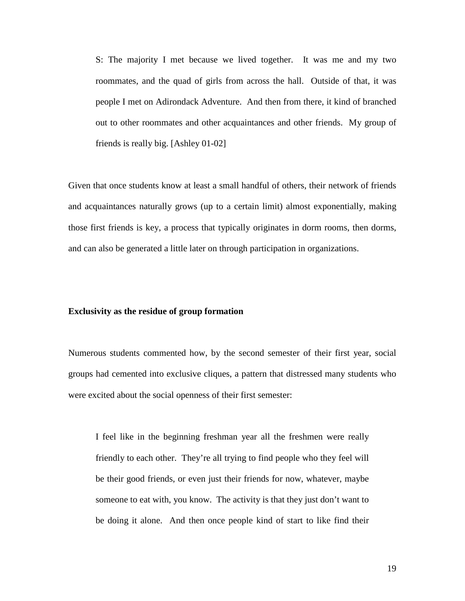S: The majority I met because we lived together. It was me and my two roommates, and the quad of girls from across the hall. Outside of that, it was people I met on Adirondack Adventure. And then from there, it kind of branched out to other roommates and other acquaintances and other friends. My group of friends is really big. [Ashley 01-02]

Given that once students know at least a small handful of others, their network of friends and acquaintances naturally grows (up to a certain limit) almost exponentially, making those first friends is key, a process that typically originates in dorm rooms, then dorms, and can also be generated a little later on through participation in organizations.

#### **Exclusivity as the residue of group formation**

Numerous students commented how, by the second semester of their first year, social groups had cemented into exclusive cliques, a pattern that distressed many students who were excited about the social openness of their first semester:

I feel like in the beginning freshman year all the freshmen were really friendly to each other. They're all trying to find people who they feel will be their good friends, or even just their friends for now, whatever, maybe someone to eat with, you know. The activity is that they just don't want to be doing it alone. And then once people kind of start to like find their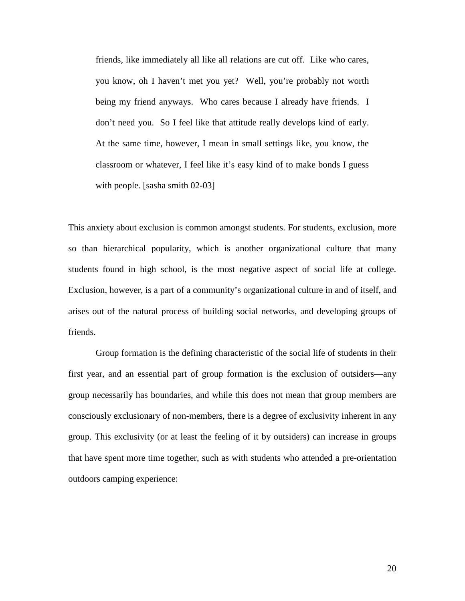friends, like immediately all like all relations are cut off. Like who cares, you know, oh I haven't met you yet? Well, you're probably not worth being my friend anyways. Who cares because I already have friends. I don't need you. So I feel like that attitude really develops kind of early. At the same time, however, I mean in small settings like, you know, the classroom or whatever, I feel like it's easy kind of to make bonds I guess with people. [sasha smith 02-03]

This anxiety about exclusion is common amongst students. For students, exclusion, more so than hierarchical popularity, which is another organizational culture that many students found in high school, is the most negative aspect of social life at college. Exclusion, however, is a part of a community's organizational culture in and of itself, and arises out of the natural process of building social networks, and developing groups of friends.

 Group formation is the defining characteristic of the social life of students in their first year, and an essential part of group formation is the exclusion of outsiders—any group necessarily has boundaries, and while this does not mean that group members are consciously exclusionary of non-members, there is a degree of exclusivity inherent in any group. This exclusivity (or at least the feeling of it by outsiders) can increase in groups that have spent more time together, such as with students who attended a pre-orientation outdoors camping experience: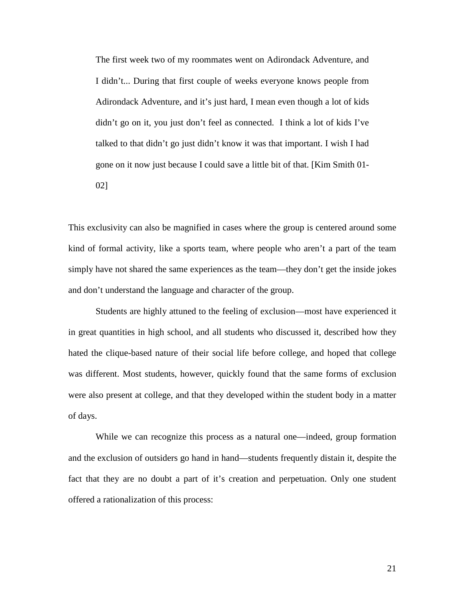The first week two of my roommates went on Adirondack Adventure, and I didn't... During that first couple of weeks everyone knows people from Adirondack Adventure, and it's just hard, I mean even though a lot of kids didn't go on it, you just don't feel as connected. I think a lot of kids I've talked to that didn't go just didn't know it was that important. I wish I had gone on it now just because I could save a little bit of that. [Kim Smith 01-

02]

This exclusivity can also be magnified in cases where the group is centered around some kind of formal activity, like a sports team, where people who aren't a part of the team simply have not shared the same experiences as the team—they don't get the inside jokes and don't understand the language and character of the group.

 Students are highly attuned to the feeling of exclusion—most have experienced it in great quantities in high school, and all students who discussed it, described how they hated the clique-based nature of their social life before college, and hoped that college was different. Most students, however, quickly found that the same forms of exclusion were also present at college, and that they developed within the student body in a matter of days.

While we can recognize this process as a natural one—indeed, group formation and the exclusion of outsiders go hand in hand—students frequently distain it, despite the fact that they are no doubt a part of it's creation and perpetuation. Only one student offered a rationalization of this process: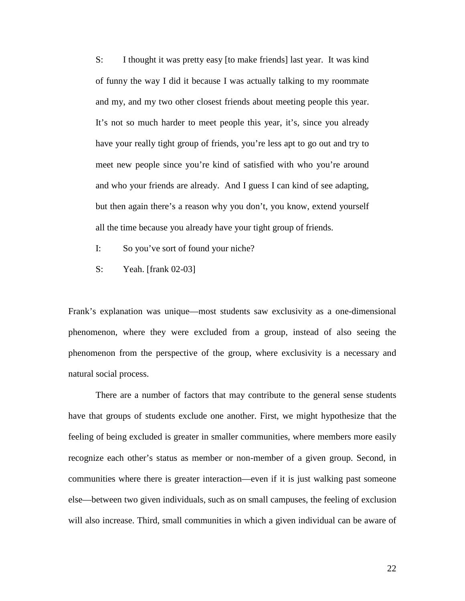S: I thought it was pretty easy [to make friends] last year. It was kind of funny the way I did it because I was actually talking to my roommate and my, and my two other closest friends about meeting people this year. It's not so much harder to meet people this year, it's, since you already have your really tight group of friends, you're less apt to go out and try to meet new people since you're kind of satisfied with who you're around and who your friends are already. And I guess I can kind of see adapting, but then again there's a reason why you don't, you know, extend yourself all the time because you already have your tight group of friends.

- I: So you've sort of found your niche?
- S: Yeah. [frank 02-03]

Frank's explanation was unique—most students saw exclusivity as a one-dimensional phenomenon, where they were excluded from a group, instead of also seeing the phenomenon from the perspective of the group, where exclusivity is a necessary and natural social process.

 There are a number of factors that may contribute to the general sense students have that groups of students exclude one another. First, we might hypothesize that the feeling of being excluded is greater in smaller communities, where members more easily recognize each other's status as member or non-member of a given group. Second, in communities where there is greater interaction—even if it is just walking past someone else—between two given individuals, such as on small campuses, the feeling of exclusion will also increase. Third, small communities in which a given individual can be aware of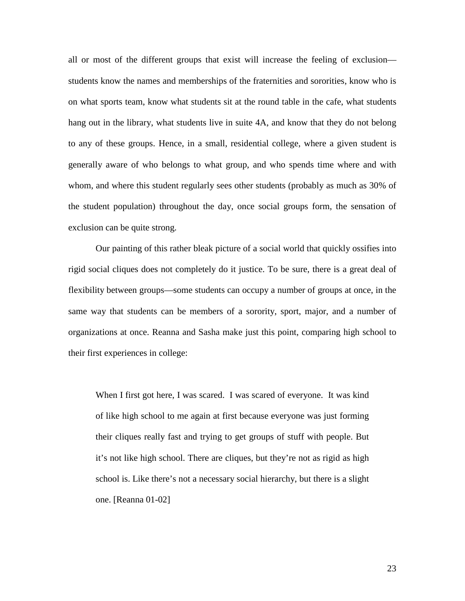all or most of the different groups that exist will increase the feeling of exclusion students know the names and memberships of the fraternities and sororities, know who is on what sports team, know what students sit at the round table in the cafe, what students hang out in the library, what students live in suite 4A, and know that they do not belong to any of these groups. Hence, in a small, residential college, where a given student is generally aware of who belongs to what group, and who spends time where and with whom, and where this student regularly sees other students (probably as much as 30% of the student population) throughout the day, once social groups form, the sensation of exclusion can be quite strong.

 Our painting of this rather bleak picture of a social world that quickly ossifies into rigid social cliques does not completely do it justice. To be sure, there is a great deal of flexibility between groups—some students can occupy a number of groups at once, in the same way that students can be members of a sorority, sport, major, and a number of organizations at once. Reanna and Sasha make just this point, comparing high school to their first experiences in college:

When I first got here, I was scared. I was scared of everyone. It was kind of like high school to me again at first because everyone was just forming their cliques really fast and trying to get groups of stuff with people. But it's not like high school. There are cliques, but they're not as rigid as high school is. Like there's not a necessary social hierarchy, but there is a slight one. [Reanna 01-02]

23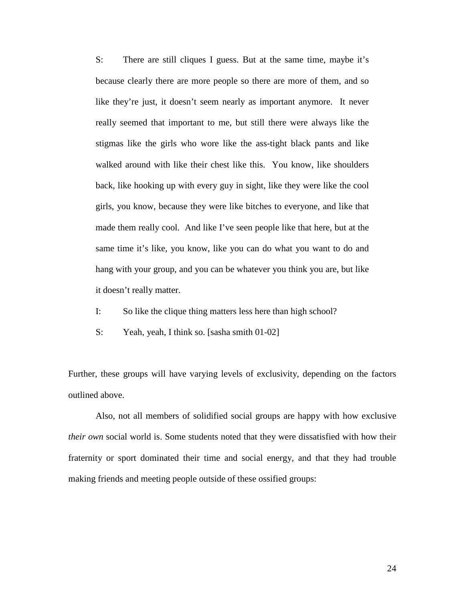S: There are still cliques I guess. But at the same time, maybe it's because clearly there are more people so there are more of them, and so like they're just, it doesn't seem nearly as important anymore. It never really seemed that important to me, but still there were always like the stigmas like the girls who wore like the ass-tight black pants and like walked around with like their chest like this. You know, like shoulders back, like hooking up with every guy in sight, like they were like the cool girls, you know, because they were like bitches to everyone, and like that made them really cool. And like I've seen people like that here, but at the same time it's like, you know, like you can do what you want to do and hang with your group, and you can be whatever you think you are, but like it doesn't really matter.

- I: So like the clique thing matters less here than high school?
- S: Yeah, yeah, I think so. [sasha smith 01-02]

Further, these groups will have varying levels of exclusivity, depending on the factors outlined above.

 Also, not all members of solidified social groups are happy with how exclusive *their own* social world is. Some students noted that they were dissatisfied with how their fraternity or sport dominated their time and social energy, and that they had trouble making friends and meeting people outside of these ossified groups: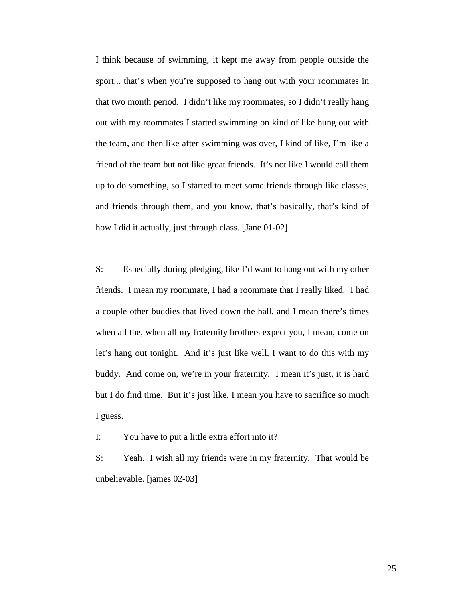I think because of swimming, it kept me away from people outside the sport... that's when you're supposed to hang out with your roommates in that two month period. I didn't like my roommates, so I didn't really hang out with my roommates I started swimming on kind of like hung out with the team, and then like after swimming was over, I kind of like, I'm like a friend of the team but not like great friends. It's not like I would call them up to do something, so I started to meet some friends through like classes, and friends through them, and you know, that's basically, that's kind of how I did it actually, just through class. [Jane 01-02]

S: Especially during pledging, like I'd want to hang out with my other friends. I mean my roommate, I had a roommate that I really liked. I had a couple other buddies that lived down the hall, and I mean there's times when all the, when all my fraternity brothers expect you, I mean, come on let's hang out tonight. And it's just like well, I want to do this with my buddy. And come on, we're in your fraternity. I mean it's just, it is hard but I do find time. But it's just like, I mean you have to sacrifice so much I guess.

I: You have to put a little extra effort into it?

S: Yeah. I wish all my friends were in my fraternity. That would be unbelievable. [james 02-03]